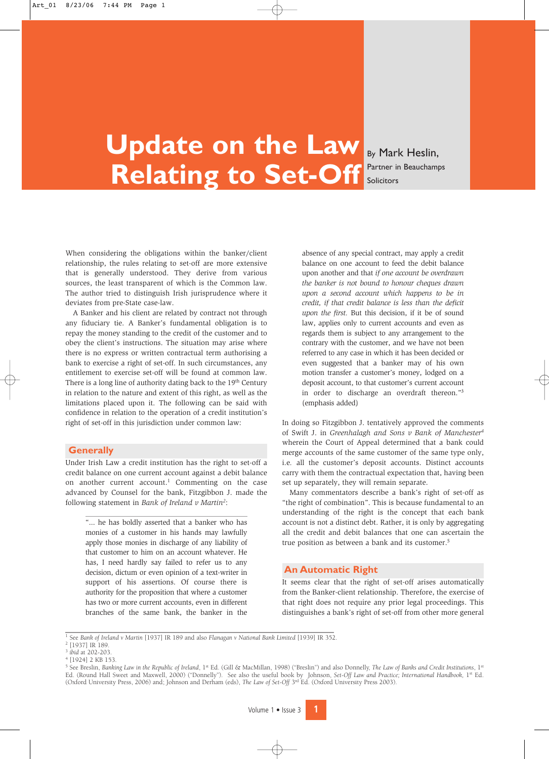# **Update on the Law Relating to Set-Off**

By Mark Heslin, Partner in Beauchamps Solicitors

When considering the obligations within the banker/client relationship, the rules relating to set-off are more extensive that is generally understood. They derive from various sources, the least transparent of which is the Common law. The author tried to distinguish Irish jurisprudence where it deviates from pre-State case-law.

A Banker and his client are related by contract not through any fiduciary tie. A Banker's fundamental obligation is to repay the money standing to the credit of the customer and to obey the client's instructions. The situation may arise where there is no express or written contractual term authorising a bank to exercise a right of set-off. In such circumstances, any entitlement to exercise set-off will be found at common law. There is a long line of authority dating back to the 19<sup>th</sup> Century in relation to the nature and extent of this right, as well as the limitations placed upon it. The following can be said with confidence in relation to the operation of a credit institution's right of set-off in this jurisdiction under common law:

## **Generally**

Under Irish Law a credit institution has the right to set-off a credit balance on one current account against a debit balance on another current account.<sup>1</sup> Commenting on the case advanced by Counsel for the bank, Fitzgibbon J. made the following statement in *Bank of Ireland v Martin2*:

"... he has boldly asserted that a banker who has monies of a customer in his hands may lawfully apply those monies in discharge of any liability of that customer to him on an account whatever. He has, I need hardly say failed to refer us to any decision, dictum or even opinion of a text-writer in support of his assertions. Of course there is authority for the proposition that where a customer has two or more current accounts, even in different branches of the same bank, the banker in the absence of any special contract, may apply a credit balance on one account to feed the debit balance upon another and that *if one account be overdrawn the banker is not bound to honour cheques drawn upon a second account which happens to be in credit, if that credit balance is less than the deficit upon the first.* But this decision, if it be of sound law, applies only to current accounts and even as regards them is subject to any arrangement to the contrary with the customer, and we have not been referred to any case in which it has been decided or even suggested that a banker may of his own motion transfer a customer's money, lodged on a deposit account, to that customer's current account in order to discharge an overdraft thereon."3 (emphasis added)

In doing so Fitzgibbon J. tentatively approved the comments of Swift J. in *Greenhalagh and Sons v Bank of Manchester4* wherein the Court of Appeal determined that a bank could merge accounts of the same customer of the same type only, i.e*.* all the customer's deposit accounts. Distinct accounts carry with them the contractual expectation that, having been set up separately, they will remain separate.

Many commentators describe a bank's right of set-off as "the right of combination". This is because fundamental to an understanding of the right is the concept that each bank account is not a distinct debt. Rather, it is only by aggregating all the credit and debit balances that one can ascertain the true position as between a bank and its customer.<sup>5</sup>

### **An Automatic Right**

It seems clear that the right of set-off arises automatically from the Banker-client relationship. Therefore, the exercise of that right does not require any prior legal proceedings. This distinguishes a bank's right of set-off from other more general

<sup>1</sup> See *Bank of Ireland v Martin* [1937] IR 189 and also *Flanagan v National Bank Limited* [1939] IR 352.

<sup>2</sup> [1937] IR 189.

<sup>3</sup> *ibid* at 202-203.

<sup>4</sup> [1924] 2 KB 153.

<sup>&</sup>lt;sup>5</sup> See Breslin, *Banking Law in the Republic of Ireland*, 1<sup>st</sup> Ed. (Gill & MacMillan, 1998) ("Breslin") and also Donnelly, The Law of Banks and Credit Institutions, 1<sup>st</sup> Ed. (Round Hall Sweet and Maxwell, 2000) ("Donnelly"). See also the useful book by Johnson, *Set-Off Law and Practice; International Handbook*, 1<sup>st</sup> Ed. (Oxford University Press, 2006) and; Johnson and Derham (eds), *The Law of Set-Off* 3rd Ed. (Oxford University Press 2003).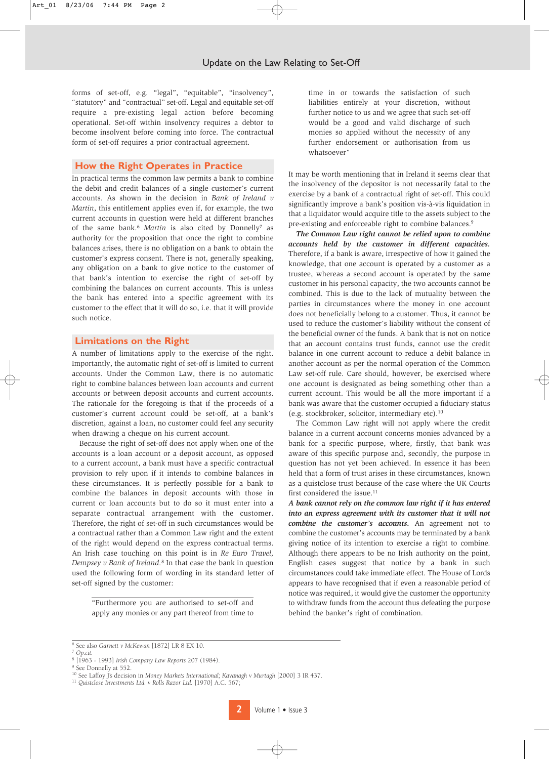forms of set-off, e.g. "legal", "equitable", "insolvency", "statutory" and "contractual" set-off. Legal and equitable set-off require a pre-existing legal action before becoming operational. Set-off within insolvency requires a debtor to become insolvent before coming into force. The contractual form of set-off requires a prior contractual agreement.

#### **How the Right Operates in Practice**

In practical terms the common law permits a bank to combine the debit and credit balances of a single customer's current accounts. As shown in the decision in *Bank of Ireland v Martin*, this entitlement applies even if, for example, the two current accounts in question were held at different branches of the same bank.<sup>6</sup> Martin is also cited by Donnelly<sup>7</sup> as authority for the proposition that once the right to combine balances arises, there is no obligation on a bank to obtain the customer's express consent. There is not, generally speaking, any obligation on a bank to give notice to the customer of that bank's intention to exercise the right of set-off by combining the balances on current accounts. This is unless the bank has entered into a specific agreement with its customer to the effect that it will do so, i.e. that it will provide such notice.

#### **Limitations on the Right**

A number of limitations apply to the exercise of the right. Importantly, the automatic right of set-off is limited to current accounts. Under the Common Law, there is no automatic right to combine balances between loan accounts and current accounts or between deposit accounts and current accounts. The rationale for the foregoing is that if the proceeds of a customer's current account could be set-off, at a bank's discretion, against a loan, no customer could feel any security when drawing a cheque on his current account.

Because the right of set-off does not apply when one of the accounts is a loan account or a deposit account, as opposed to a current account, a bank must have a specific contractual provision to rely upon if it intends to combine balances in these circumstances. It is perfectly possible for a bank to combine the balances in deposit accounts with those in current or loan accounts but to do so it must enter into a separate contractual arrangement with the customer. Therefore, the right of set-off in such circumstances would be a contractual rather than a Common Law right and the extent of the right would depend on the express contractual terms. An Irish case touching on this point is in *Re Euro Travel, Dempsey v Bank of Ireland.*<sup>8</sup> In that case the bank in question used the following form of wording in its standard letter of set-off signed by the customer:

"Furthermore you are authorised to set-off and apply any monies or any part thereof from time to time in or towards the satisfaction of such liabilities entirely at your discretion, without further notice to us and we agree that such set-off would be a good and valid discharge of such monies so applied without the necessity of any further endorsement or authorisation from us whatsoever"

It may be worth mentioning that in Ireland it seems clear that the insolvency of the depositor is not necessarily fatal to the exercise by a bank of a contractual right of set-off. This could significantly improve a bank's position vis-à-vis liquidation in that a liquidator would acquire title to the assets subject to the pre-existing and enforceable right to combine balances.<sup>9</sup>

*The Common Law right cannot be relied upon to combine accounts held by the customer in different capacities.* Therefore, if a bank is aware, irrespective of how it gained the knowledge, that one account is operated by a customer as a trustee, whereas a second account is operated by the same customer in his personal capacity, the two accounts cannot be combined. This is due to the lack of mutuality between the parties in circumstances where the money in one account does not beneficially belong to a customer. Thus, it cannot be used to reduce the customer's liability without the consent of the beneficial owner of the funds. A bank that is not on notice that an account contains trust funds, cannot use the credit balance in one current account to reduce a debit balance in another account as per the normal operation of the Common Law set-off rule. Care should, however, be exercised where one account is designated as being something other than a current account. This would be all the more important if a bank was aware that the customer occupied a fiduciary status (e.g. stockbroker, solicitor, intermediary etc).10

The Common Law right will not apply where the credit balance in a current account concerns monies advanced by a bank for a specific purpose, where, firstly, that bank was aware of this specific purpose and, secondly, the purpose in question has not yet been achieved. In essence it has been held that a form of trust arises in these circumstances, known as a quistclose trust because of the case where the UK Courts first considered the issue.<sup>11</sup>

*A bank cannot rely on the common law right if it has entered into an express agreement with its customer that it will not combine the customer's accounts.* An agreement not to combine the customer's accounts may be terminated by a bank giving notice of its intention to exercise a right to combine. Although there appears to be no Irish authority on the point, English cases suggest that notice by a bank in such circumstances could take immediate effect. The House of Lords appears to have recognised that if even a reasonable period of notice was required, it would give the customer the opportunity to withdraw funds from the account thus defeating the purpose behind the banker's right of combination.

<sup>6</sup> See also *Garnett v McKewan* [1872] LR 8 EX 10.

<sup>7</sup> *Op.cit.*

<sup>8</sup> [1963 - 1993] *Irish Company Law Reports* 207 (1984).

<sup>&</sup>lt;sup>9</sup> See Donnelly at 552.

<sup>10</sup> See Laffoy J's decision in *Money Markets International; Kavanagh v Murtagh* [2000] 3 IR 437.

<sup>11</sup> *Quistclose Investments Ltd. v Rolls Razor Ltd.* [1970] A.C. 567;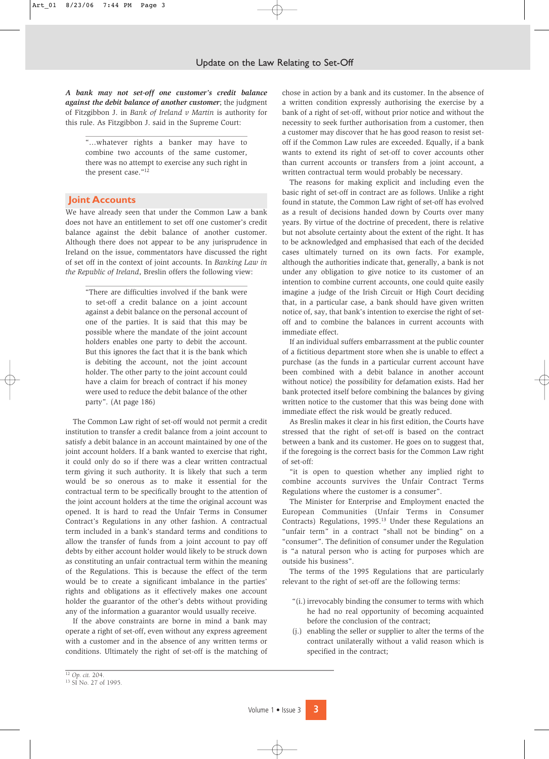*A bank may not set-off one customer's credit balance against the debit balance of another customer*; the judgment of Fitzgibbon J. in *Bank of Ireland v Martin* is authority for this rule. As Fitzgibbon J. said in the Supreme Court:

"...whatever rights a banker may have to combine two accounts of the same customer, there was no attempt to exercise any such right in the present case."12

#### **Joint Accounts**

We have already seen that under the Common Law a bank does not have an entitlement to set off one customer's credit balance against the debit balance of another customer. Although there does not appear to be any jurisprudence in Ireland on the issue, commentators have discussed the right of set off in the context of joint accounts. In *Banking Law in the Republic of Ireland*, Breslin offers the following view:

"There are difficulties involved if the bank were to set-off a credit balance on a joint account against a debit balance on the personal account of one of the parties. It is said that this may be possible where the mandate of the joint account holders enables one party to debit the account. But this ignores the fact that it is the bank which is debiting the account, not the joint account holder. The other party to the joint account could have a claim for breach of contract if his money were used to reduce the debit balance of the other party". (At page 186)

The Common Law right of set-off would not permit a credit institution to transfer a credit balance from a joint account to satisfy a debit balance in an account maintained by one of the joint account holders. If a bank wanted to exercise that right, it could only do so if there was a clear written contractual term giving it such authority. It is likely that such a term would be so onerous as to make it essential for the contractual term to be specifically brought to the attention of the joint account holders at the time the original account was opened. It is hard to read the Unfair Terms in Consumer Contract's Regulations in any other fashion. A contractual term included in a bank's standard terms and conditions to allow the transfer of funds from a joint account to pay off debts by either account holder would likely to be struck down as constituting an unfair contractual term within the meaning of the Regulations. This is because the effect of the term would be to create a significant imbalance in the parties' rights and obligations as it effectively makes one account holder the guarantor of the other's debts without providing any of the information a guarantor would usually receive.

If the above constraints are borne in mind a bank may operate a right of set-off, even without any express agreement with a customer and in the absence of any written terms or conditions. Ultimately the right of set-off is the matching of chose in action by a bank and its customer. In the absence of a written condition expressly authorising the exercise by a bank of a right of set-off, without prior notice and without the necessity to seek further authorisation from a customer, then a customer may discover that he has good reason to resist setoff if the Common Law rules are exceeded. Equally, if a bank wants to extend its right of set-off to cover accounts other than current accounts or transfers from a joint account, a written contractual term would probably be necessary.

The reasons for making explicit and including even the basic right of set-off in contract are as follows. Unlike a right found in statute, the Common Law right of set-off has evolved as a result of decisions handed down by Courts over many years. By virtue of the doctrine of precedent, there is relative but not absolute certainty about the extent of the right. It has to be acknowledged and emphasised that each of the decided cases ultimately turned on its own facts. For example, although the authorities indicate that, generally, a bank is not under any obligation to give notice to its customer of an intention to combine current accounts, one could quite easily imagine a judge of the Irish Circuit or High Court deciding that, in a particular case, a bank should have given written notice of, say, that bank's intention to exercise the right of setoff and to combine the balances in current accounts with immediate effect.

If an individual suffers embarrassment at the public counter of a fictitious department store when she is unable to effect a purchase (as the funds in a particular current account have been combined with a debit balance in another account without notice) the possibility for defamation exists. Had her bank protected itself before combining the balances by giving written notice to the customer that this was being done with immediate effect the risk would be greatly reduced.

As Breslin makes it clear in his first edition, the Courts have stressed that the right of set-off is based on the contract between a bank and its customer. He goes on to suggest that, if the foregoing is the correct basis for the Common Law right of set-off:

"it is open to question whether any implied right to combine accounts survives the Unfair Contract Terms Regulations where the customer is a consumer".

The Minister for Enterprise and Employment enacted the European Communities (Unfair Terms in Consumer Contracts) Regulations, 1995.13 Under these Regulations an "unfair term" in a contract "shall not be binding" on a "consumer". The definition of consumer under the Regulation is "a natural person who is acting for purposes which are outside his business".

The terms of the 1995 Regulations that are particularly relevant to the right of set-off are the following terms:

- "(i.) irrevocably binding the consumer to terms with which he had no real opportunity of becoming acquainted before the conclusion of the contract;
- (j.) enabling the seller or supplier to alter the terms of the contract unilaterally without a valid reason which is specified in the contract;

<sup>12</sup> *Op. cit.* 204.

<sup>&</sup>lt;sup>13</sup> SI No. 27 of 1995.